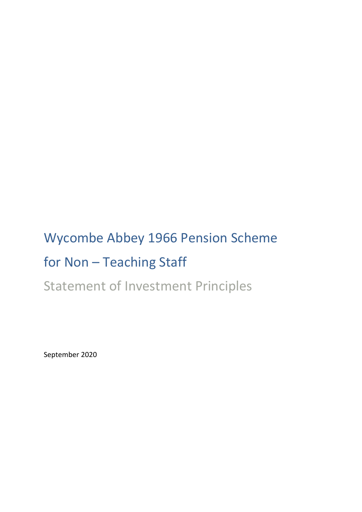# Wycombe Abbey 1966 Pension Scheme for Non – Teaching Staff

Statement of Investment Principles

September 2020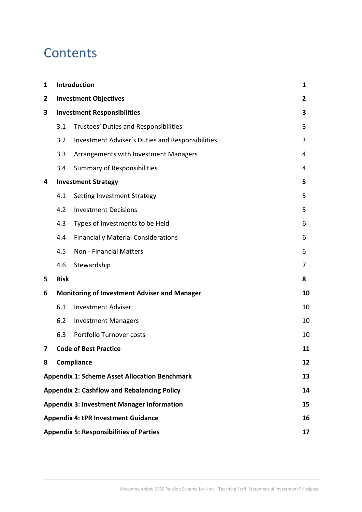## **Contents**

| $\mathbf{1}$                                             | Introduction                                        |                                                  | 1              |  |
|----------------------------------------------------------|-----------------------------------------------------|--------------------------------------------------|----------------|--|
| $\overline{2}$                                           |                                                     | <b>Investment Objectives</b>                     | $\overline{2}$ |  |
| 3                                                        | <b>Investment Responsibilities</b>                  |                                                  |                |  |
|                                                          | 3.1                                                 | Trustees' Duties and Responsibilities            | 3              |  |
|                                                          | 3.2                                                 | Investment Adviser's Duties and Responsibilities | 3              |  |
|                                                          | 3.3                                                 | Arrangements with Investment Managers            | 4              |  |
|                                                          | 3.4                                                 | <b>Summary of Responsibilities</b>               | 4              |  |
| 4                                                        |                                                     | <b>Investment Strategy</b>                       | 5              |  |
|                                                          | 4.1                                                 | Setting Investment Strategy                      | 5              |  |
|                                                          | 4.2                                                 | <b>Investment Decisions</b>                      | 5              |  |
|                                                          | 4.3                                                 | Types of Investments to be Held                  | 6              |  |
|                                                          | 4.4                                                 | <b>Financially Material Considerations</b>       | 6              |  |
|                                                          | 4.5                                                 | Non - Financial Matters                          | 6              |  |
|                                                          | 4.6                                                 | Stewardship                                      | 7              |  |
| 5                                                        | <b>Risk</b>                                         |                                                  | 8              |  |
| 6                                                        | <b>Monitoring of Investment Adviser and Manager</b> |                                                  |                |  |
|                                                          | 6.1                                                 | <b>Investment Adviser</b>                        | 10             |  |
|                                                          | 6.2                                                 | <b>Investment Managers</b>                       | 10             |  |
|                                                          | 6.3                                                 | Portfolio Turnover costs                         | 10             |  |
| 7                                                        | <b>Code of Best Practice</b>                        |                                                  | 11             |  |
| 8                                                        | Compliance                                          |                                                  | 12             |  |
| <b>Appendix 1: Scheme Asset Allocation Benchmark</b>     |                                                     |                                                  | 13             |  |
| <b>Appendix 2: Cashflow and Rebalancing Policy</b><br>14 |                                                     |                                                  |                |  |
| <b>Appendix 3: Investment Manager Information</b><br>15  |                                                     |                                                  |                |  |
| <b>Appendix 4: tPR Investment Guidance</b><br>16         |                                                     |                                                  |                |  |
| <b>Appendix 5: Responsibilities of Parties</b><br>17     |                                                     |                                                  |                |  |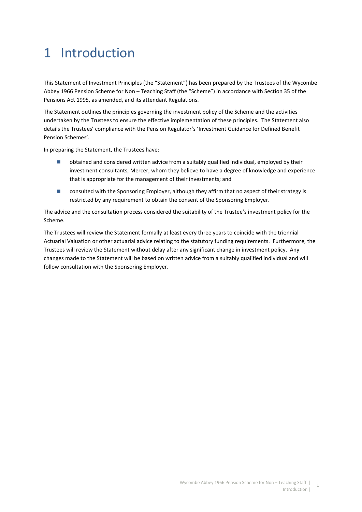# 1 Introduction

This Statement of Investment Principles (the "Statement") has been prepared by the Trustees of the Wycombe Abbey 1966 Pension Scheme for Non – Teaching Staff (the "Scheme") in accordance with Section 35 of the Pensions Act 1995, as amended, and its attendant Regulations.

The Statement outlines the principles governing the investment policy of the Scheme and the activities undertaken by the Trustees to ensure the effective implementation of these principles. The Statement also details the Trustees' compliance with the Pension Regulator's 'Investment Guidance for Defined Benefit Pension Schemes'.

In preparing the Statement, the Trustees have:

- obtained and considered written advice from a suitably qualified individual, employed by their investment consultants, Mercer, whom they believe to have a degree of knowledge and experience that is appropriate for the management of their investments; and
- consulted with the Sponsoring Employer, although they affirm that no aspect of their strategy is restricted by any requirement to obtain the consent of the Sponsoring Employer.

The advice and the consultation process considered the suitability of the Trustee's investment policy for the Scheme.

The Trustees will review the Statement formally at least every three years to coincide with the triennial Actuarial Valuation or other actuarial advice relating to the statutory funding requirements. Furthermore, the Trustees will review the Statement without delay after any significant change in investment policy. Any changes made to the Statement will be based on written advice from a suitably qualified individual and will follow consultation with the Sponsoring Employer.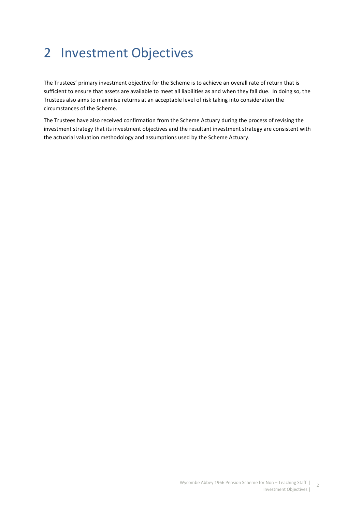# 2 Investment Objectives

The Trustees' primary investment objective for the Scheme is to achieve an overall rate of return that is sufficient to ensure that assets are available to meet all liabilities as and when they fall due. In doing so, the Trustees also aims to maximise returns at an acceptable level of risk taking into consideration the circumstances of the Scheme.

The Trustees have also received confirmation from the Scheme Actuary during the process of revising the investment strategy that its investment objectives and the resultant investment strategy are consistent with the actuarial valuation methodology and assumptions used by the Scheme Actuary.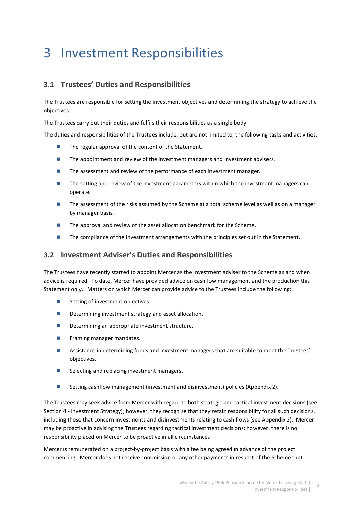# 3 Investment Responsibilities

## 3.1 Trustees' Duties and Responsibilities

The Trustees are responsible for setting the investment objectives and determining the strategy to achieve the objectives.

The Trustees carry out their duties and fulfils their responsibilities as a single body.

The duties and responsibilities of the Trustees include, but are not limited to, the following tasks and activities:

- The regular approval of the content of the Statement.
- **The appointment and review of the investment managers and investment advisers.**
- $\blacksquare$  The assessment and review of the performance of each investment manager.
- **The setting and review of the investment parameters within which the investment managers can** operate.
- The assessment of the risks assumed by the Scheme at a total scheme level as well as on a manager by manager basis.
- The approval and review of the asset allocation benchmark for the Scheme.
- The compliance of the investment arrangements with the principles set out in the Statement.

## 3.2 Investment Adviser's Duties and Responsibilities

The Trustees have recently started to appoint Mercer as the investment adviser to the Scheme as and when advice is required. To date, Mercer have provided advice on cashflow management and the production this Statement only. Matters on which Mercer can provide advice to the Trustees include the following:

- Setting of investment objectives.
- Determining investment strategy and asset allocation.
- Determining an appropriate investment structure.
- **Fig. 5** Framing manager mandates.
- Assistance in determining funds and investment managers that are suitable to meet the Trustees' objectives.
- Selecting and replacing investment managers.
- Setting cashflow management (investment and disinvestment) policies (Appendix 2).

The Trustees may seek advice from Mercer with regard to both strategic and tactical investment decisions (see Section 4 - Investment Strategy); however, they recognise that they retain responsibility for all such decisions, including those that concern investments and disinvestments relating to cash flows (see Appendix 2). Mercer may be proactive in advising the Trustees regarding tactical investment decisions; however, there is no responsibility placed on Mercer to be proactive in all circumstances.

Mercer is remunerated on a project-by-project basis with a fee being agreed in advance of the project commencing. Mercer does not receive commission or any other payments in respect of the Scheme that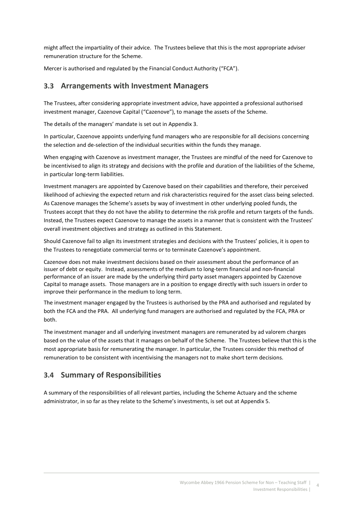might affect the impartiality of their advice. The Trustees believe that this is the most appropriate adviser remuneration structure for the Scheme.

Mercer is authorised and regulated by the Financial Conduct Authority ("FCA").

## 3.3 Arrangements with Investment Managers

The Trustees, after considering appropriate investment advice, have appointed a professional authorised investment manager, Cazenove Capital ("Cazenove"), to manage the assets of the Scheme.

The details of the managers' mandate is set out in Appendix 3.

In particular, Cazenove appoints underlying fund managers who are responsible for all decisions concerning the selection and de-selection of the individual securities within the funds they manage.

When engaging with Cazenove as investment manager, the Trustees are mindful of the need for Cazenove to be incentivised to align its strategy and decisions with the profile and duration of the liabilities of the Scheme, in particular long-term liabilities.

Investment managers are appointed by Cazenove based on their capabilities and therefore, their perceived likelihood of achieving the expected return and risk characteristics required for the asset class being selected. As Cazenove manages the Scheme's assets by way of investment in other underlying pooled funds, the Trustees accept that they do not have the ability to determine the risk profile and return targets of the funds. Instead, the Trustees expect Cazenove to manage the assets in a manner that is consistent with the Trustees' overall investment objectives and strategy as outlined in this Statement.

Should Cazenove fail to align its investment strategies and decisions with the Trustees' policies, it is open to the Trustees to renegotiate commercial terms or to terminate Cazenove's appointment.

Cazenove does not make investment decisions based on their assessment about the performance of an issuer of debt or equity. Instead, assessments of the medium to long-term financial and non-financial performance of an issuer are made by the underlying third party asset managers appointed by Cazenove Capital to manage assets. Those managers are in a position to engage directly with such issuers in order to improve their performance in the medium to long term.

The investment manager engaged by the Trustees is authorised by the PRA and authorised and regulated by both the FCA and the PRA. All underlying fund managers are authorised and regulated by the FCA, PRA or both.

The investment manager and all underlying investment managers are remunerated by ad valorem charges based on the value of the assets that it manages on behalf of the Scheme. The Trustees believe that this is the most appropriate basis for remunerating the manager. In particular, the Trustees consider this method of remuneration to be consistent with incentivising the managers not to make short term decisions.

## 3.4 Summary of Responsibilities

A summary of the responsibilities of all relevant parties, including the Scheme Actuary and the scheme administrator, in so far as they relate to the Scheme's investments, is set out at Appendix 5.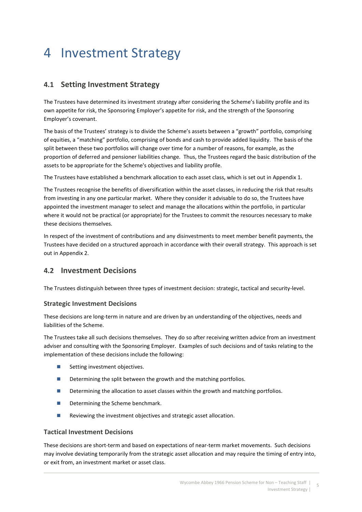# 4 Investment Strategy

## 4.1 Setting Investment Strategy

The Trustees have determined its investment strategy after considering the Scheme's liability profile and its own appetite for risk, the Sponsoring Employer's appetite for risk, and the strength of the Sponsoring Employer's covenant.

The basis of the Trustees' strategy is to divide the Scheme's assets between a "growth" portfolio, comprising of equities, a "matching" portfolio, comprising of bonds and cash to provide added liquidity. The basis of the split between these two portfolios will change over time for a number of reasons, for example, as the proportion of deferred and pensioner liabilities change. Thus, the Trustees regard the basic distribution of the assets to be appropriate for the Scheme's objectives and liability profile.

The Trustees have established a benchmark allocation to each asset class, which is set out in Appendix 1.

The Trustees recognise the benefits of diversification within the asset classes, in reducing the risk that results from investing in any one particular market. Where they consider it advisable to do so, the Trustees have appointed the investment manager to select and manage the allocations within the portfolio, in particular where it would not be practical (or appropriate) for the Trustees to commit the resources necessary to make these decisions themselves.

In respect of the investment of contributions and any disinvestments to meet member benefit payments, the Trustees have decided on a structured approach in accordance with their overall strategy. This approach is set out in Appendix 2.

## 4.2 Investment Decisions

The Trustees distinguish between three types of investment decision: strategic, tactical and security-level.

## Strategic Investment Decisions

These decisions are long-term in nature and are driven by an understanding of the objectives, needs and liabilities of the Scheme.

The Trustees take all such decisions themselves. They do so after receiving written advice from an investment adviser and consulting with the Sponsoring Employer. Examples of such decisions and of tasks relating to the implementation of these decisions include the following:

- Setting investment objectives.
- Determining the split between the growth and the matching portfolios.
- Determining the allocation to asset classes within the growth and matching portfolios.
- Determining the Scheme benchmark.
- Reviewing the investment objectives and strategic asset allocation.

## Tactical Investment Decisions

These decisions are short-term and based on expectations of near-term market movements. Such decisions may involve deviating temporarily from the strategic asset allocation and may require the timing of entry into, or exit from, an investment market or asset class.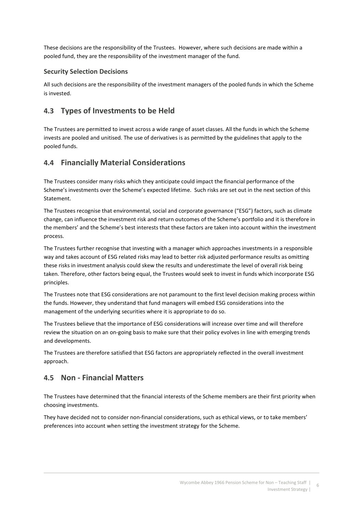These decisions are the responsibility of the Trustees. However, where such decisions are made within a pooled fund, they are the responsibility of the investment manager of the fund.

## Security Selection Decisions

All such decisions are the responsibility of the investment managers of the pooled funds in which the Scheme is invested.

## 4.3 Types of Investments to be Held

The Trustees are permitted to invest across a wide range of asset classes. All the funds in which the Scheme invests are pooled and unitised. The use of derivatives is as permitted by the guidelines that apply to the pooled funds.

## 4.4 Financially Material Considerations

The Trustees consider many risks which they anticipate could impact the financial performance of the Scheme's investments over the Scheme's expected lifetime. Such risks are set out in the next section of this Statement.

The Trustees recognise that environmental, social and corporate governance ("ESG") factors, such as climate change, can influence the investment risk and return outcomes of the Scheme's portfolio and it is therefore in the members' and the Scheme's best interests that these factors are taken into account within the investment process.

The Trustees further recognise that investing with a manager which approaches investments in a responsible way and takes account of ESG related risks may lead to better risk adjusted performance results as omitting these risks in investment analysis could skew the results and underestimate the level of overall risk being taken. Therefore, other factors being equal, the Trustees would seek to invest in funds which incorporate ESG principles.

The Trustees note that ESG considerations are not paramount to the first level decision making process within the funds. However, they understand that fund managers will embed ESG considerations into the management of the underlying securities where it is appropriate to do so.

The Trustees believe that the importance of ESG considerations will increase over time and will therefore review the situation on an on-going basis to make sure that their policy evolves in line with emerging trends and developments.

The Trustees are therefore satisfied that ESG factors are appropriately reflected in the overall investment approach.

## 4.5 Non - Financial Matters

The Trustees have determined that the financial interests of the Scheme members are their first priority when choosing investments.

They have decided not to consider non-financial considerations, such as ethical views, or to take members' preferences into account when setting the investment strategy for the Scheme.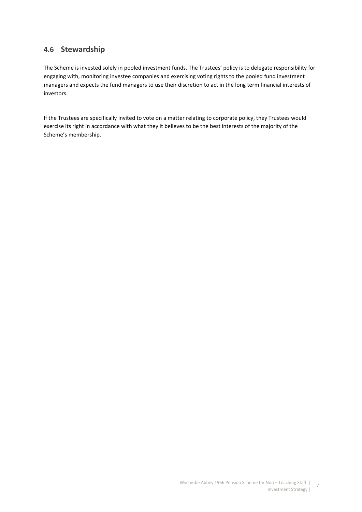## 4.6 Stewardship

The Scheme is invested solely in pooled investment funds. The Trustees' policy is to delegate responsibility for engaging with, monitoring investee companies and exercising voting rights to the pooled fund investment managers and expects the fund managers to use their discretion to act in the long term financial interests of investors.

If the Trustees are specifically invited to vote on a matter relating to corporate policy, they Trustees would exercise its right in accordance with what they it believes to be the best interests of the majority of the Scheme's membership.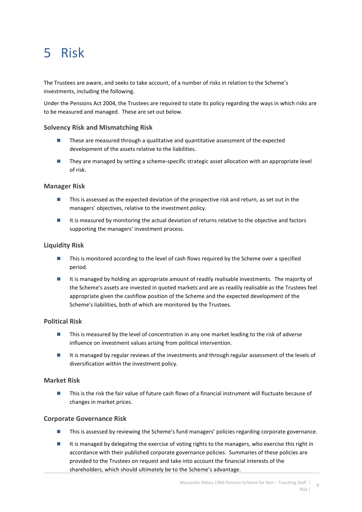# 5 Risk

The Trustees are aware, and seeks to take account, of a number of risks in relation to the Scheme's investments, including the following.

Under the Pensions Act 2004, the Trustees are required to state its policy regarding the ways in which risks are to be measured and managed. These are set out below.

## Solvency Risk and Mismatching Risk

- These are measured through a qualitative and quantitative assessment of the expected development of the assets relative to the liabilities.
- **They are managed by setting a scheme-specific strategic asset allocation with an appropriate level** of risk.

## Manager Risk

- This is assessed as the expected deviation of the prospective risk and return, as set out in the managers' objectives, relative to the investment policy.
- It is measured by monitoring the actual deviation of returns relative to the objective and factors supporting the managers' investment process.

## Liquidity Risk

- **This is monitored according to the level of cash flows required by the Scheme over a specified** period.
- It is managed by holding an appropriate amount of readily realisable investments. The majority of the Scheme's assets are invested in quoted markets and are as readily realisable as the Trustees feel appropriate given the cashflow position of the Scheme and the expected development of the Scheme's liabilities, both of which are monitored by the Trustees.

## Political Risk

- **This is measured by the level of concentration in any one market leading to the risk of adverse** influence on investment values arising from political intervention.
- It is managed by regular reviews of the investments and through regular assessment of the levels of diversification within the investment policy.

## Market Risk

■ This is the risk the fair value of future cash flows of a financial instrument will fluctuate because of changes in market prices.

## Corporate Governance Risk

- **This is assessed by reviewing the Scheme's fund managers' policies regarding corporate governance.**
- It is managed by delegating the exercise of voting rights to the managers, who exercise this right in accordance with their published corporate governance policies. Summaries of these policies are provided to the Trustees on request and take into account the financial interests of the shareholders, which should ultimately be to the Scheme's advantage.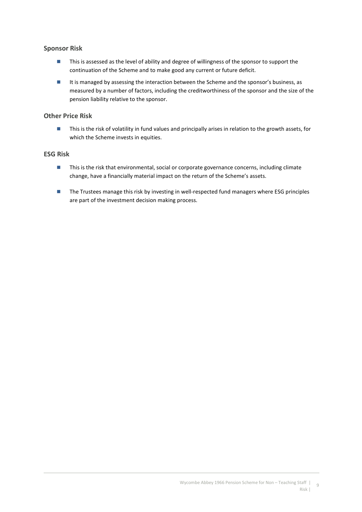## Sponsor Risk

- **This is assessed as the level of ability and degree of willingness of the sponsor to support the** continuation of the Scheme and to make good any current or future deficit.
- It is managed by assessing the interaction between the Scheme and the sponsor's business, as measured by a number of factors, including the creditworthiness of the sponsor and the size of the pension liability relative to the sponsor.

## Other Price Risk

■ This is the risk of volatility in fund values and principally arises in relation to the growth assets, for which the Scheme invests in equities.

## ESG Risk

- **This is the risk that environmental, social or corporate governance concerns, including climate** change, have a financially material impact on the return of the Scheme's assets.
- The Trustees manage this risk by investing in well-respected fund managers where ESG principles are part of the investment decision making process.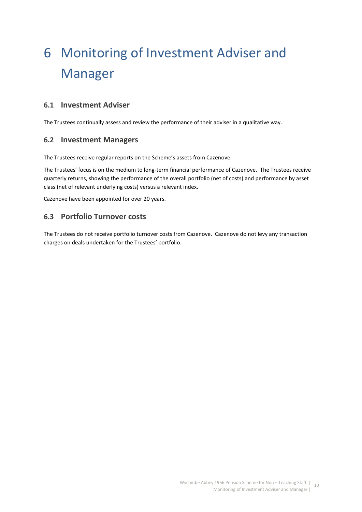# 6 Monitoring of Investment Adviser and Manager

## 6.1 Investment Adviser

The Trustees continually assess and review the performance of their adviser in a qualitative way.

## 6.2 Investment Managers

The Trustees receive regular reports on the Scheme's assets from Cazenove.

The Trustees' focus is on the medium to long-term financial performance of Cazenove. The Trustees receive quarterly returns, showing the performance of the overall portfolio (net of costs) and performance by asset class (net of relevant underlying costs) versus a relevant index.

Cazenove have been appointed for over 20 years.

## 6.3 Portfolio Turnover costs

The Trustees do not receive portfolio turnover costs from Cazenove. Cazenove do not levy any transaction charges on deals undertaken for the Trustees' portfolio.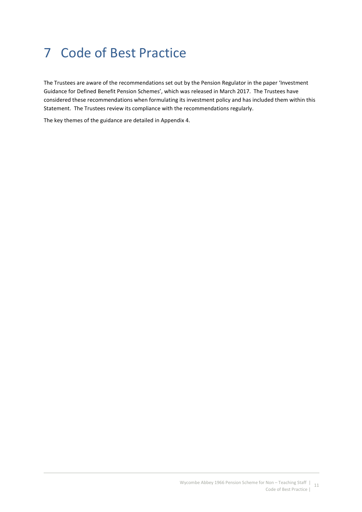# 7 Code of Best Practice

The Trustees are aware of the recommendations set out by the Pension Regulator in the paper 'Investment Guidance for Defined Benefit Pension Schemes', which was released in March 2017. The Trustees have considered these recommendations when formulating its investment policy and has included them within this Statement. The Trustees review its compliance with the recommendations regularly.

The key themes of the guidance are detailed in Appendix 4.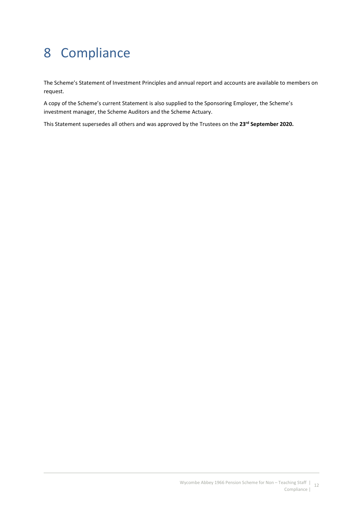# 8 Compliance

The Scheme's Statement of Investment Principles and annual report and accounts are available to members on request.

A copy of the Scheme's current Statement is also supplied to the Sponsoring Employer, the Scheme's investment manager, the Scheme Auditors and the Scheme Actuary.

This Statement supersedes all others and was approved by the Trustees on the 23<sup>rd</sup> September 2020.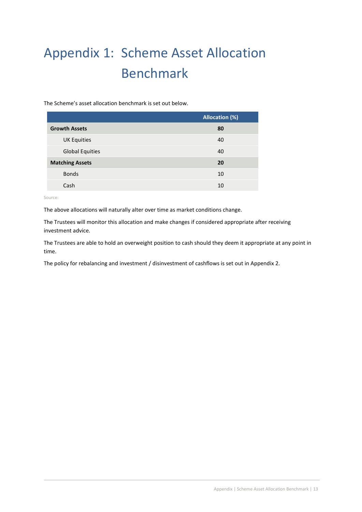# Appendix 1: Scheme Asset Allocation Benchmark

The Scheme's asset allocation benchmark is set out below.

|                        | <b>Allocation (%)</b> |
|------------------------|-----------------------|
| <b>Growth Assets</b>   | 80                    |
| <b>UK Equities</b>     | 40                    |
| <b>Global Equities</b> | 40                    |
| <b>Matching Assets</b> | 20                    |
| <b>Bonds</b>           | 10                    |
| Cash                   | 10                    |

Source:

The above allocations will naturally alter over time as market conditions change.

The Trustees will monitor this allocation and make changes if considered appropriate after receiving investment advice.

The Trustees are able to hold an overweight position to cash should they deem it appropriate at any point in time.

The policy for rebalancing and investment / disinvestment of cashflows is set out in Appendix 2.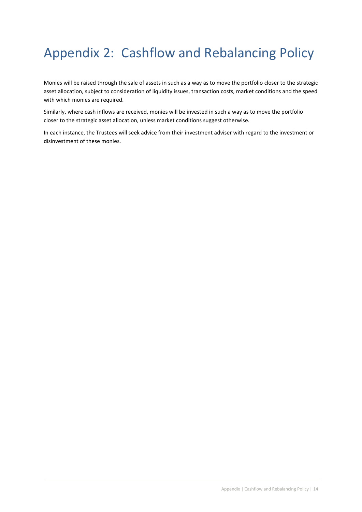# Appendix 2: Cashflow and Rebalancing Policy

Monies will be raised through the sale of assets in such as a way as to move the portfolio closer to the strategic asset allocation, subject to consideration of liquidity issues, transaction costs, market conditions and the speed with which monies are required.

Similarly, where cash inflows are received, monies will be invested in such a way as to move the portfolio closer to the strategic asset allocation, unless market conditions suggest otherwise.

In each instance, the Trustees will seek advice from their investment adviser with regard to the investment or disinvestment of these monies.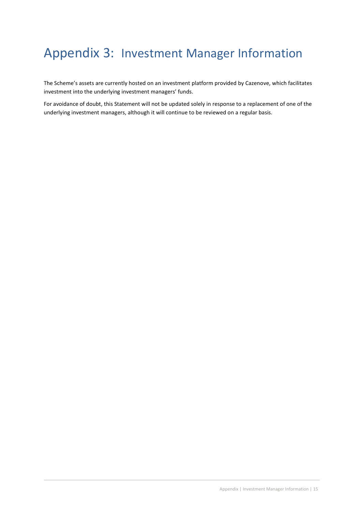## Appendix 3: Investment Manager Information

The Scheme's assets are currently hosted on an investment platform provided by Cazenove, which facilitates investment into the underlying investment managers' funds.

For avoidance of doubt, this Statement will not be updated solely in response to a replacement of one of the underlying investment managers, although it will continue to be reviewed on a regular basis.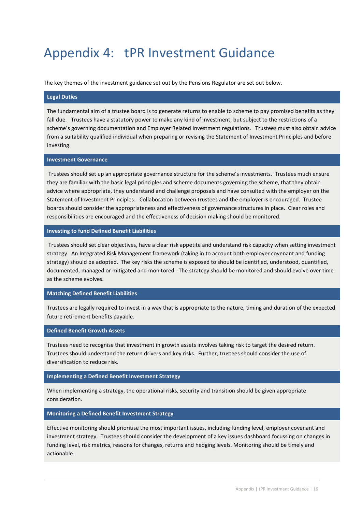# Appendix 4: tPR Investment Guidance

The key themes of the investment guidance set out by the Pensions Regulator are set out below.

#### Legal Duties

The fundamental aim of a trustee board is to generate returns to enable to scheme to pay promised benefits as they fall due. Trustees have a statutory power to make any kind of investment, but subject to the restrictions of a scheme's governing documentation and Employer Related Investment regulations. Trustees must also obtain advice from a suitability qualified individual when preparing or revising the Statement of Investment Principles and before investing.

### Investment Governance

 Trustees should set up an appropriate governance structure for the scheme's investments. Trustees much ensure they are familiar with the basic legal principles and scheme documents governing the scheme, that they obtain advice where appropriate, they understand and challenge proposals and have consulted with the employer on the Statement of Investment Principles. Collaboration between trustees and the employer is encouraged. Trustee boards should consider the appropriateness and effectiveness of governance structures in place. Clear roles and responsibilities are encouraged and the effectiveness of decision making should be monitored.

### Investing to fund Defined Benefit Liabilities

 Trustees should set clear objectives, have a clear risk appetite and understand risk capacity when setting investment strategy. An Integrated Risk Management framework (taking in to account both employer covenant and funding strategy) should be adopted. The key risks the scheme is exposed to should be identified, understood, quantified, documented, managed or mitigated and monitored. The strategy should be monitored and should evolve over time as the scheme evolves.

#### Matching Defined Benefit Liabilities

Trustees are legally required to invest in a way that is appropriate to the nature, timing and duration of the expected future retirement benefits payable.

### Defined Benefit Growth Assets

Trustees need to recognise that investment in growth assets involves taking risk to target the desired return. Trustees should understand the return drivers and key risks. Further, trustees should consider the use of diversification to reduce risk.

### Implementing a Defined Benefit Investment Strategy

When implementing a strategy, the operational risks, security and transition should be given appropriate consideration.

#### Monitoring a Defined Benefit Investment Strategy

Effective monitoring should prioritise the most important issues, including funding level, employer covenant and investment strategy. Trustees should consider the development of a key issues dashboard focussing on changes in funding level, risk metrics, reasons for changes, returns and hedging levels. Monitoring should be timely and actionable.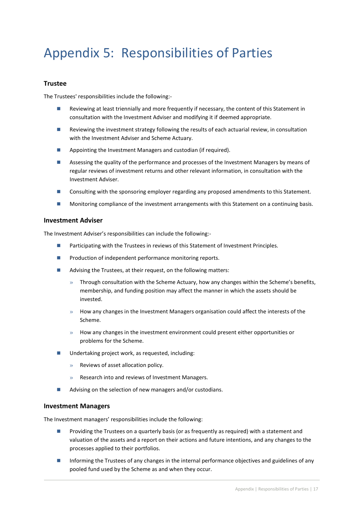# Appendix 5: Responsibilities of Parties

### Trustee

The Trustees' responsibilities include the following:-

- Reviewing at least triennially and more frequently if necessary, the content of this Statement in consultation with the Investment Adviser and modifying it if deemed appropriate.
- **Reviewing the investment strategy following the results of each actuarial review, in consultation** with the Investment Adviser and Scheme Actuary.
- Appointing the Investment Managers and custodian (if required).
- **Assessing the quality of the performance and processes of the Investment Managers by means of** regular reviews of investment returns and other relevant information, in consultation with the Investment Adviser.
- **Consulting with the sponsoring employer regarding any proposed amendments to this Statement.**
- **Monitoring compliance of the investment arrangements with this Statement on a continuing basis.**

### Investment Adviser

The Investment Adviser's responsibilities can include the following:-

- **Participating with the Trustees in reviews of this Statement of Investment Principles.**
- $\blacksquare$  Production of independent performance monitoring reports.
- Advising the Trustees, at their request, on the following matters:
	- $\gg$  Through consultation with the Scheme Actuary, how any changes within the Scheme's benefits, membership, and funding position may affect the manner in which the assets should be invested.
	- $\gg$  How any changes in the Investment Managers organisation could affect the interests of the Scheme.
	- $\gg$  How any changes in the investment environment could present either opportunities or problems for the Scheme.
- Undertaking project work, as requested, including:
	- » Reviews of asset allocation policy.
	- » Research into and reviews of Investment Managers.
- Advising on the selection of new managers and/or custodians.

### Investment Managers

The Investment managers' responsibilities include the following:

- **Providing the Trustees on a quarterly basis (or as frequently as required) with a statement and** valuation of the assets and a report on their actions and future intentions, and any changes to the processes applied to their portfolios.
- Informing the Trustees of any changes in the internal performance objectives and guidelines of any pooled fund used by the Scheme as and when they occur.